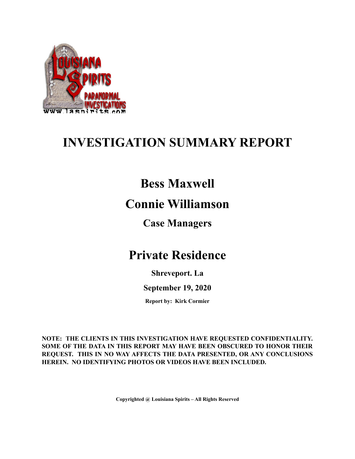

## **INVESTIGATION SUMMARY REPORT**

## **Bess Maxwell**

### **Connie Williamson**

### **Case Managers**

## **Private Residence**

**Shreveport. La**

**September 19, 2020**

**Report by: Kirk Cormier**

**NOTE: THE CLIENTS IN THIS INVESTIGATION HAVE REQUESTED CONFIDENTIALITY. SOME OF THE DATA IN THIS REPORT MAY HAVE BEEN OBSCURED TO HONOR THEIR REQUEST. THIS IN NO WAY AFFECTS THE DATA PRESENTED, OR ANY CONCLUSIONS HEREIN. NO IDENTIFYING PHOTOS OR VIDEOS HAVE BEEN INCLUDED.**

**Copyrighted @ Louisiana Spirits – All Rights Reserved**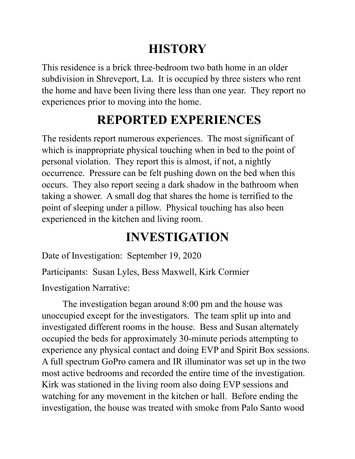# **HISTORY**

This residence is a brick three-bedroom two bath home in an older subdivision in Shreveport, La. It is occupied by three sisters who rent the home and have been living there less than one year. They report no experiences prior to moving into the home.

## **REPORTED EXPERIENCES**

The residents report numerous experiences. The most significant of which is inappropriate physical touching when in bed to the point of personal violation. They report this is almost, if not, a nightly occurrence. Pressure can be felt pushing down on the bed when this occurs. They also report seeing a dark shadow in the bathroom when taking a shower. A small dog that shares the home is terrified to the point of sleeping under a pillow. Physical touching has also been experienced in the kitchen and living room.

# **INVESTIGATION**

Date of Investigation: September 19, 2020

Participants: Susan Lyles, Bess Maxwell, Kirk Cormier Investigation Narrative:

The investigation began around 8:00 pm and the house was unoccupied except for the investigators. The team split up into and investigated different rooms in the house. Bess and Susan alternately occupied the beds for approximately 30-minute periods attempting to experience any physical contact and doing EVP and Spirit Box sessions. A full spectrum GoPro camera and IR illuminator was set up in the two most active bedrooms and recorded the entire time of the investigation. Kirk was stationed in the living room also doing EVP sessions and watching for any movement in the kitchen or hall. Before ending the investigation, the house was treated with smoke from Palo Santo wood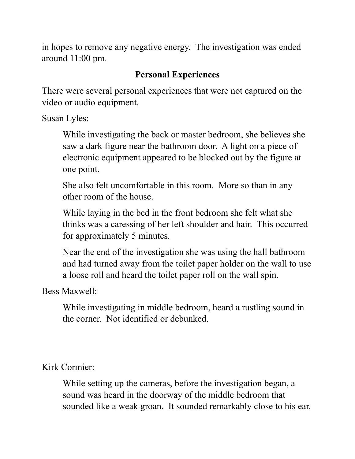in hopes to remove any negative energy. The investigation was ended around 11:00 pm.

### **Personal Experiences**

There were several personal experiences that were not captured on the video or audio equipment.

Susan Lyles:

While investigating the back or master bedroom, she believes she saw a dark figure near the bathroom door. A light on a piece of electronic equipment appeared to be blocked out by the figure at one point.

She also felt uncomfortable in this room. More so than in any other room of the house.

While laying in the bed in the front bedroom she felt what she thinks was a caressing of her left shoulder and hair. This occurred for approximately 5 minutes.

Near the end of the investigation she was using the hall bathroom and had turned away from the toilet paper holder on the wall to use a loose roll and heard the toilet paper roll on the wall spin.

Bess Maxwell:

While investigating in middle bedroom, heard a rustling sound in the corner. Not identified or debunked.

Kirk Cormier:

While setting up the cameras, before the investigation began, a sound was heard in the doorway of the middle bedroom that sounded like a weak groan. It sounded remarkably close to his ear.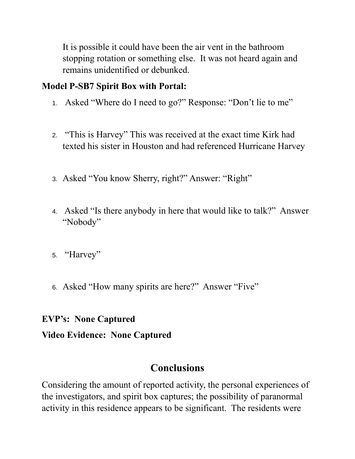It is possible it could have been the air vent in the bathroom stopping rotation or something else. It was not heard again and remains unidentified or debunked.

#### **Model P-SB7 Spirit Box with Portal:**

- 1. Asked "Where do I need to go?" Response: "Don't lie to me"
- 2. "This is Harvey" This was received at the exact time Kirk had texted his sister in Houston and had referenced Hurricane Harvey
- 3. Asked "You know Sherry, right?" Answer: "Right"
- 4. Asked "Is there anybody in here that would like to talk?" Answer "Nobody"
- 5. "Harvey"
- 6. Asked "How many spirits are here?" Answer "Five"

#### **EVP's: None Captured**

#### **Video Evidence: None Captured**

### **Conclusions**

Considering the amount of reported activity, the personal experiences of the investigators, and spirit box captures; the possibility of paranormal activity in this residence appears to be significant. The residents were